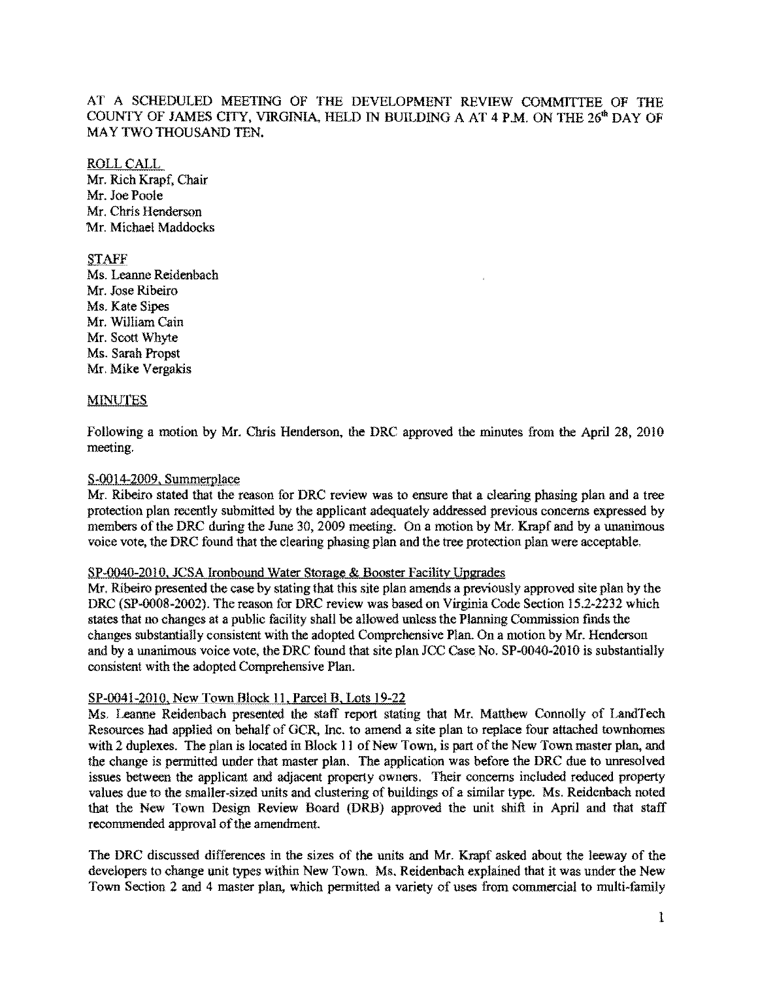## AT A SCHEDULED MEETING OF THE DEVELOPMENT REVIEW COMMITrEE OF TIlE COUNTY OF JAMES CITY, VIRGINIA, HELD IN BUILDING A AT 4 P.M. ON THE 26<sup>th</sup> DAY OF MAY TWO THOUSAND TEN.

# ROLLCALL

Mr. Rich Krapf, Chair Mr. Joe Poole Mr. Chris Henderson Mr. Michael Maddocks

## **STAFF**

Ms. Leanne Reidenbach Mr. Jose Ribeiro Ms. Kate Sipes Mr. William Cain Mr. Scott Whyte Ms. Sarah Propst Mr. Mike Vergakis

## **MINUTES**

Following a motion by Mr. Chris Henderson, the DRC approved the minutes from the April 28, 2010 meeting.

## $S-0014-2009$ , Summerplace

Mr. Ribeiro stated that the reason for DRC review was to ensure that a clearing phasing plan and a tree protection plan recently submitted by the applicant adequately addressed previous concerns expressed by members of the DRC during the June 30, 2009 meeting. On a motion by Mr. Krapf and by a unanimous voice vote, the DRC found that the clearing phasing plan and the tree protection plan were acceptable.

#### SP-0040-2010, JCSA Ironbound Water Storage & Booster Facility Upgrades

Mr. Ribeiro presented the case by stating that this site plan amends a previously approved site plan by the DRC (SP-0008-2002). The reason for DRC review was based on Virginia Code Section 15.2-2232 which states that no changes at a public facility shall be allowed unless the Planning Commission finds the changes substantially consistent with the adopted Comprehensive Plan. On a motion by Mr. Henderson and by a unanimous voice vote, the DRC found that site plan JCC Case No. SP-0040-2010 is substantially consistent with the adopted Comprehensive Plan.

## SP-0041-2010, New Town Block 11, Parcel B, Lots 19-22

Ms. Leanne Reidenbach presented the staff report stating that Mr. Matthew Connolly of LandTech Resources had applied on behalf of GCR, Inc. to amend a site plan to replace four attached townhomes with 2 duplexes. The plan is located in Block 11 of New Town, is part of the New Town master plan, and the change is permitted under that master plan. The application was before the DRC due to unresolved issues between the applicant and adjacent property owners. Their concerns included reduced property values due to the smaller-sized units and clustering of buildings of a similar type. Ms. Reidenhach noted that the New Town Design Review Board (DRB) approved the unit shift in April and that staff recommended approval of the amendment.

The DRC discussed differences in the sizes of the units and Mr. Krapf asked about the leeway of the developers to change unit types within New Town. Ms, Reidenbach explained that it was under the New Town Section 2 and 4 master plan, which permitted a variety of uses from commercial to multi-family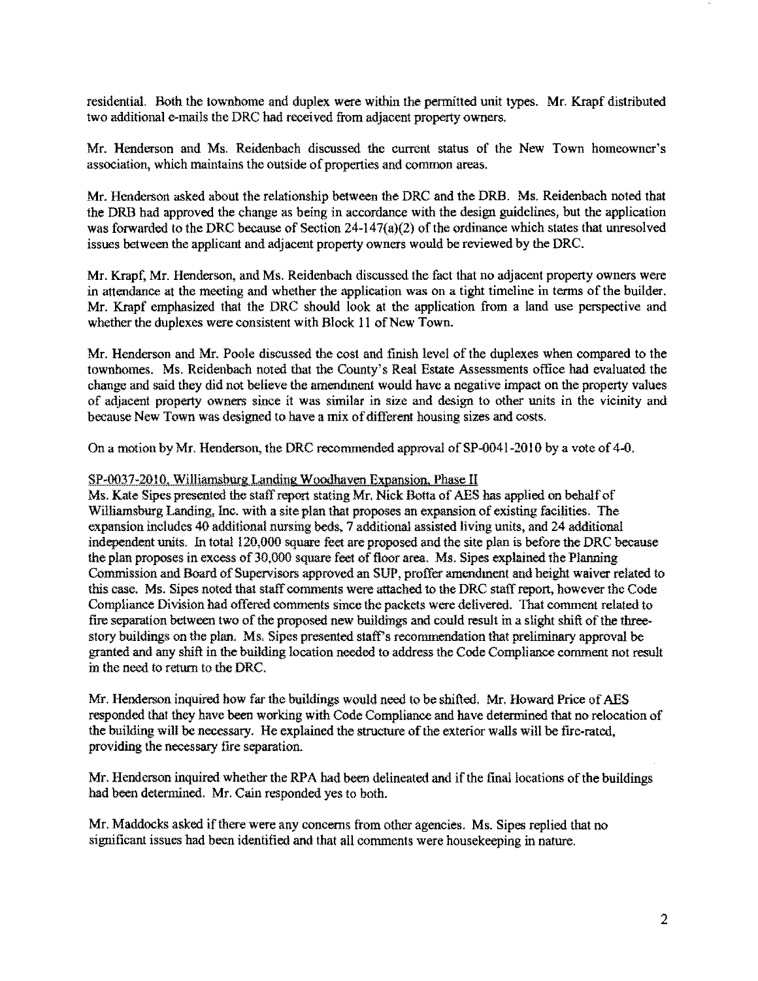residential. Both the townhome and duplex were within the permitted unit types. Mr. Krapf distributed two additional e-mails the DRC had received from adjacent property owners.

Mr. Henderson and Ms, Reidenbach discussed the current status of the New Town homeowner's association, which maintains the outside of properties and common areas.

Mr. Henderson asked about the relationship between the DRC and the DRB. Ms. Reidenhach noted that the DRB had approved the change as being in accordance with the design guidelines, but the application was forwarded to the DRC because of Section  $24-147(a)(2)$  of the ordinance which states that unresolved issues between the applicant and adjacent property owners would be reviewed by the DRC.

Mr. Krapf, Mr. Henderson, and Ms. Reidenbach discussed the fact that no adjacent property owners were in attendance at the meeting and whether the application was on a tight timeline in terms of the builder. Mr. Krapf emphasized that the DRC should look at the application from a land use perspective and whether the duplexes were consistent with Block 11 of New Town.

Mr. Henderson and Mr. Poole discussed the cost and finish level of the duplexes when compared to the townhomes. Ms. Reidenbach noted that the County's Real Estate Assessments office had evaluated the change and said they did not believe the amendment would have a negative impact on the property values of adjacent property owners since it was similar in size and design to other units in the vicinity and because New Town was designed to have a mix of different housing sizes and costs.

On a motion by Mr. Henderson, the DRC recommended approval of SP-0041-2010 by a vote of 4-0.

#### SP-0037-2010. Williamsburg Landing Woodhaven Expansion. Phase II

Ms. Kate Sipes presented the staff report stating Mr. Nick Botta of AES has applied on behalf of Williamsburg Landing, Inc. with a site plan that proposes an expansion of existing facilities. The expansion includes 40 additional nursing beds, 7 additional assisted living units, and 24 additional independent units. In total 120,000 square feet are proposed and the site plan is before the DRC because the plan proposes in excess of 30,000 square feet of floor area. Ms. Sipes explained the Planning Commission and Board of Supervisors approved an SUP, proffer amendment and height waiver related to this case. Ms. Sipes noted that staff comments were attached to the DRC staffreport, however the Code Compliance Division had offered comments since the packets were delivered. That comment related to fire separation between two of the proposed new buildings and could result in a slight shift of the threestory buildings on the plan. Ms. Sipes presented staff's recommendation that preliminary approval be granted and any shift in the building location needed to address the Code Compliance comment not result in the need to return to the DRC.

Mr. Henderson inquired how far the buildings would need to be shifted. Mr. Howard Price of AES responded that they have been working with Code Compliance and have detennined that no relocation of the building will be necessary. He explained the structure of the exterior walls will be fire-rated, providing the necessary fire separation.

Mr. Henderson inquired whether the RPA had been delineated and if the final locations of the buildings had been determined. Mr. Cain responded yes to both.

Mr. Maddocks asked if there were any concerns from other agencies. Ms. Sipes replied that no significant issues had been identified and that all comments were housekeeping in nature.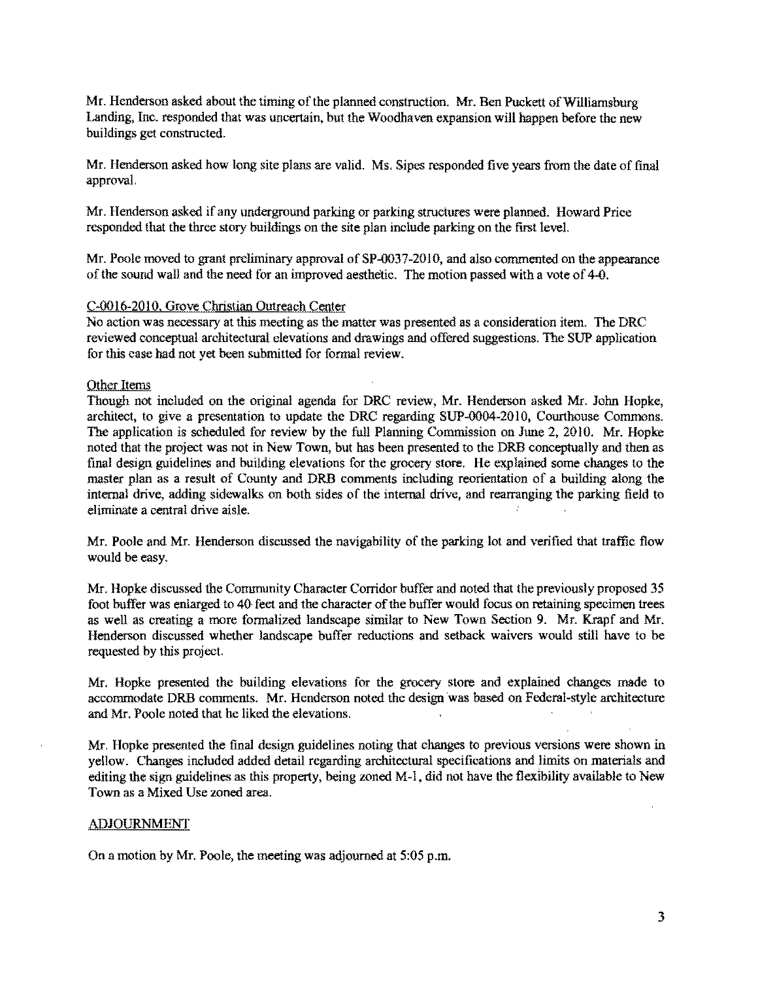Mr. Henderson asked about the timing of the planned construction. Mr. Ben Puckett of Williamsburg Landing, Inc. responded that was uncertain, but the Woodhaven expansion will happen before the new buildings get constructed.

Mr. Henderson asked how long site plans are valid. Ms. Sipes responded five years from the date of final approval.

Mr. Henderson asked if any underground parking or parking structures were planned. Howard Price responded that the three story buildings on the site plan include parking on the first level.

Mr. Poole moved to grant preliminary approval of SP-0037-20l 0, and also commented on the appearance of the sound wall and the need for an improved aesthetic. The motion passed with a vote of 4-0.

### C-OOI6-201O, Grove Christian Outreach Center

No action was necessary at this meeting as the matter was presented as a consideration item. The DRC reviewed conceptual architectural elevations and drawings and offered suggestions. The SUP application for this case had not yet been submitted for formal review.

#### Other Items

Though not included on the original agenda for DRC review, Mr. Henderson asked Mr. John Hopke, architect, to give a presentation to update the DRC regarding SUP-0004-20 10, Courthouse Commons, The application is scheduled for review by the full Planning Commission on June 2, 2010. Mr. Hopke noted that the project was not in New Town, but has been presented to the DRB conceptually and then as final design guidelines and building elevations for the grocery store. He explained some changes to the master plan as a result of County and DRB comments including reorientation of a building along the internal drive, adding sidewalks on both sides of the internal drive, and rearranging the parking field to eliminate a central drive aisle.

Mr. Poole and Mr. Henderson discussed the navigability of the parking lot and verified that traffic flow would be easy.

Mr. Hopke discussed the Community Character Corridor buffer and noted that the previously proposed 35 foot buffer was enlarged to 40 feet and the character of the buffer would focus on retaining specimen trees as well as creating a more formalized landscape similar to New Town Section 9. Mr. Krapf and Mr. Henderson discussed whether landscape buffer reductions and setback waivers would still have to be requested by this project.

Mr. Hopke presented the building elevations for the grocery store and explained changes made to accommodate DRB comments. Mr. Henderson noted the design 'was based on Federal-style architecture and Mr. Poole noted that he liked the elevations.

Mr, Hopke presented the final design guidelines noting that changes to previous versions were shown in yellow. Changes included added detail regarding architectural specifications and limits on materials and editing the sign guidelines as this property, being zoned M-l, did not have the flexibility available to New Town as a Mixed Use zoned area.

#### ADJOURNMENT

On a motion by Mr. Poole, the meeting was adjourned at 5:05 p.m.